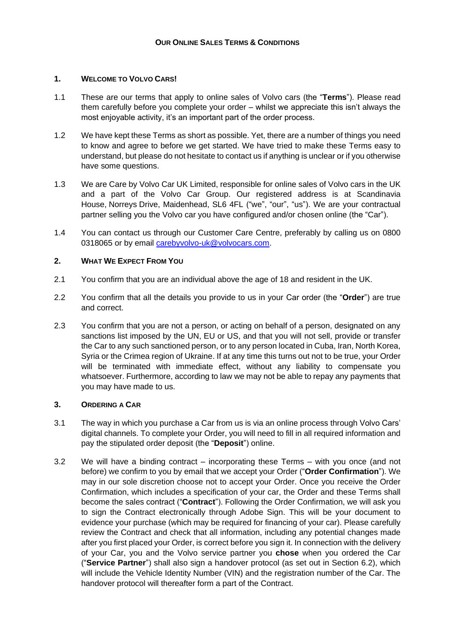## **1. WELCOME TO VOLVO CARS!**

- 1.1 These are our terms that apply to online sales of Volvo cars (the "**Terms**"). Please read them carefully before you complete your order – whilst we appreciate this isn't always the most enjoyable activity, it's an important part of the order process.
- 1.2 We have kept these Terms as short as possible. Yet, there are a number of things you need to know and agree to before we get started. We have tried to make these Terms easy to understand, but please do not hesitate to contact us if anything is unclear or if you otherwise have some questions.
- 1.3 We are Care by Volvo Car UK Limited, responsible for online sales of Volvo cars in the UK and a part of the Volvo Car Group. Our registered address is at Scandinavia House, Norreys Drive, Maidenhead, SL6 4FL ("we", "our", "us"). We are your contractual partner selling you the Volvo car you have configured and/or chosen online (the "Car").
- 1.4 You can contact us through our Customer Care Centre, preferably by calling us on 0800 0318065 or by email [carebyvolvo-uk@volvocars.com.](mailto:carebyvolvo-uk@volvocars.com)

## **2. WHAT WE EXPECT FROM YOU**

- 2.1 You confirm that you are an individual above the age of 18 and resident in the UK.
- 2.2 You confirm that all the details you provide to us in your Car order (the "**Order**") are true and correct.
- 2.3 You confirm that you are not a person, or acting on behalf of a person, designated on any sanctions list imposed by the UN, EU or US, and that you will not sell, provide or transfer the Car to any such sanctioned person, or to any person located in Cuba, Iran, North Korea, Syria or the Crimea region of Ukraine. If at any time this turns out not to be true, your Order will be terminated with immediate effect, without any liability to compensate you whatsoever. Furthermore, according to law we may not be able to repay any payments that you may have made to us.

#### **3. ORDERING A CAR**

- 3.1 The way in which you purchase a Car from us is via an online process through Volvo Cars' digital channels. To complete your Order, you will need to fill in all required information and pay the stipulated order deposit (the "**Deposit**") online.
- 3.2 We will have a binding contract incorporating these Terms with you once (and not before) we confirm to you by email that we accept your Order ("**Order Confirmation**"). We may in our sole discretion choose not to accept your Order. Once you receive the Order Confirmation, which includes a specification of your car, the Order and these Terms shall become the sales contract ("**Contract**"). Following the Order Confirmation, we will ask you to sign the Contract electronically through Adobe Sign. This will be your document to evidence your purchase (which may be required for financing of your car). Please carefully review the Contract and check that all information, including any potential changes made after you first placed your Order, is correct before you sign it. In connection with the delivery of your Car, you and the Volvo service partner you **chose** when you ordered the Car ("**Service Partner**") shall also sign a handover protocol (as set out in Section [6.2\)](#page-2-0), which will include the Vehicle Identity Number (VIN) and the registration number of the Car. The handover protocol will thereafter form a part of the Contract.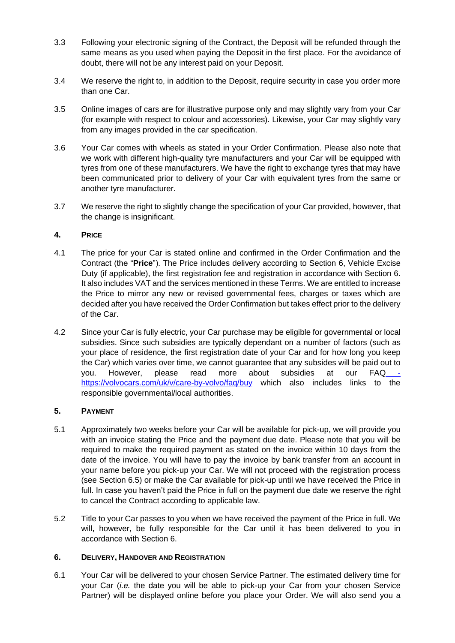- 3.3 Following your electronic signing of the Contract, the Deposit will be refunded through the same means as you used when paying the Deposit in the first place. For the avoidance of doubt, there will not be any interest paid on your Deposit.
- 3.4 We reserve the right to, in addition to the Deposit, require security in case you order more than one Car.
- 3.5 Online images of cars are for illustrative purpose only and may slightly vary from your Car (for example with respect to colour and accessories). Likewise, your Car may slightly vary from any images provided in the car specification.
- 3.6 Your Car comes with wheels as stated in your Order Confirmation. Please also note that we work with different high-quality tyre manufacturers and your Car will be equipped with tyres from one of these manufacturers. We have the right to exchange tyres that may have been communicated prior to delivery of your Car with equivalent tyres from the same or another tyre manufacturer.
- 3.7 We reserve the right to slightly change the specification of your Car provided, however, that the change is insignificant.

# **4. PRICE**

- 4.1 The price for your Car is stated online and confirmed in the Order Confirmation and the Contract (the "**Price**"). The Price includes delivery according to Section [6,](#page-1-0) Vehicle Excise Duty (if applicable), the first registration fee and registration in accordance with Section [6.](#page-1-0) It also includes VAT and the services mentioned in these Terms. We are entitled to increase the Price to mirror any new or revised governmental fees, charges or taxes which are decided after you have received the Order Confirmation but takes effect prior to the delivery of the Car.
- 4.2 Since your Car is fully electric, your Car purchase may be eligible for governmental or local subsidies. Since such subsidies are typically dependant on a number of factors (such as your place of residence, the first registration date of your Car and for how long you keep the Car) which varies over time, we cannot guarantee that any subsides will be paid out to you. However, please read more about subsidies at our FAQ\_\_\_https://volvocars.com/uk/v/care-by-volvo/faq/buy which also includes links to the responsible governmental/local authorities.

# **5. PAYMENT**

- <span id="page-1-1"></span>5.1 Approximately two weeks before your Car will be available for pick-up, we will provide you with an invoice stating the Price and the payment due date. Please note that you will be required to make the required payment as stated on the invoice within 10 days from the date of the invoice. You will have to pay the invoice by bank transfer from an account in your name before you pick-up your Car. We will not proceed with the registration process (see Section [6.5\)](#page-2-1) or make the Car available for pick-up until we have received the Price in full. In case you haven't paid the Price in full on the payment due date we reserve the right to cancel the Contract according to applicable law.
- 5.2 Title to your Car passes to you when we have received the payment of the Price in full. We will, however, be fully responsible for the Car until it has been delivered to you in accordance with Section [6.](#page-1-0)

# <span id="page-1-0"></span>**6. DELIVERY, HANDOVER AND REGISTRATION**

6.1 Your Car will be delivered to your chosen Service Partner. The estimated delivery time for your Car (*i.e.* the date you will be able to pick-up your Car from your chosen Service Partner) will be displayed online before you place your Order. We will also send you a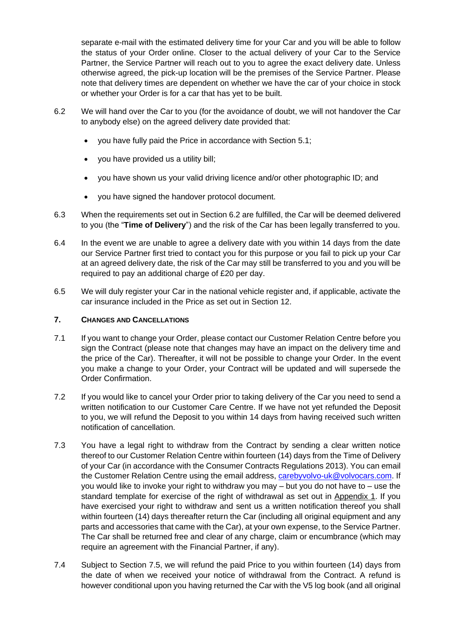separate e-mail with the estimated delivery time for your Car and you will be able to follow the status of your Order online. Closer to the actual delivery of your Car to the Service Partner, the Service Partner will reach out to you to agree the exact delivery date. Unless otherwise agreed, the pick-up location will be the premises of the Service Partner. Please note that delivery times are dependent on whether we have the car of your choice in stock or whether your Order is for a car that has yet to be built.

- <span id="page-2-0"></span>6.2 We will hand over the Car to you (for the avoidance of doubt, we will not handover the Car to anybody else) on the agreed delivery date provided that:
	- you have fully paid the Price in accordance with Section [5.1;](#page-1-1)
	- you have provided us a utility bill;
	- you have shown us your valid driving licence and/or other photographic ID; and
	- you have signed the handover protocol document.
- 6.3 When the requirements set out in Section [6.2](#page-2-0) are fulfilled, the Car will be deemed delivered to you (the "**Time of Delivery**") and the risk of the Car has been legally transferred to you.
- 6.4 In the event we are unable to agree a delivery date with you within 14 days from the date our Service Partner first tried to contact you for this purpose or you fail to pick up your Car at an agreed delivery date, the risk of the Car may still be transferred to you and you will be required to pay an additional charge of £20 per day.
- <span id="page-2-1"></span>6.5 We will duly register your Car in the national vehicle register and, if applicable, activate the car insurance included in the Price as set out in Section [12.](#page-4-0)

## **7. CHANGES AND CANCELLATIONS**

- 7.1 If you want to change your Order, please contact our Customer Relation Centre before you sign the Contract (please note that changes may have an impact on the delivery time and the price of the Car). Thereafter, it will not be possible to change your Order. In the event you make a change to your Order, your Contract will be updated and will supersede the Order Confirmation.
- 7.2 If you would like to cancel your Order prior to taking delivery of the Car you need to send a written notification to our Customer Care Centre. If we have not yet refunded the Deposit to you, we will refund the Deposit to you within 14 days from having received such written notification of cancellation.
- <span id="page-2-3"></span>7.3 You have a legal right to withdraw from the Contract by sending a clear written notice thereof to our Customer Relation Centre within fourteen (14) days from the Time of Delivery of your Car (in accordance with the Consumer Contracts Regulations 2013). You can email the Customer Relation Centre using the email address, [carebyvolvo-uk@volvocars.com.](mailto:carebyvolvo-uk@volvocars.com) If you would like to invoke your right to withdraw you may – but you do not have to – use the standard template for exercise of the right of withdrawal as set out in Appendix 1. If you have exercised your right to withdraw and sent us a written notification thereof you shall within fourteen (14) days thereafter return the Car (including all original equipment and any parts and accessories that came with the Car), at your own expense, to the Service Partner. The Car shall be returned free and clear of any charge, claim or encumbrance (which may require an agreement with the Financial Partner, if any).
- <span id="page-2-2"></span>7.4 Subject to Section [7.5,](#page-3-0) we will refund the paid Price to you within fourteen (14) days from the date of when we received your notice of withdrawal from the Contract. A refund is however conditional upon you having returned the Car with the V5 log book (and all original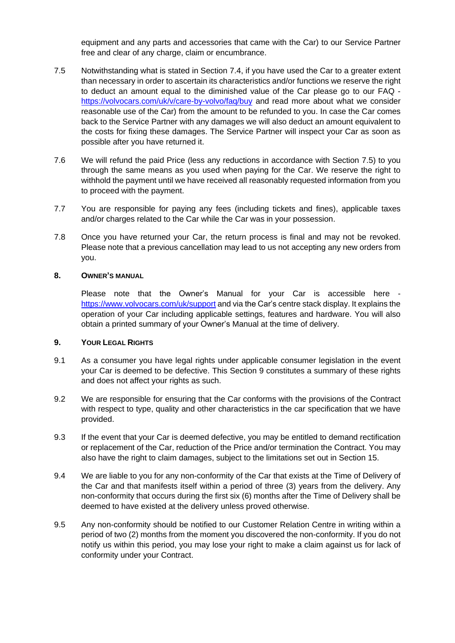equipment and any parts and accessories that came with the Car) to our Service Partner free and clear of any charge, claim or encumbrance.

- <span id="page-3-0"></span>7.5 Notwithstanding what is stated in Section [7.4,](#page-2-2) if you have used the Car to a greater extent than necessary in order to ascertain its characteristics and/or functions we reserve the right to deduct an amount equal to the diminished value of the Car please go to our FAQ https://volvocars.com/uk/v/care-by-volvo/faq/buy and read more about what we consider reasonable use of the Car) from the amount to be refunded to you. In case the Car comes back to the Service Partner with any damages we will also deduct an amount equivalent to the costs for fixing these damages. The Service Partner will inspect your Car as soon as possible after you have returned it.
- 7.6 We will refund the paid Price (less any reductions in accordance with Section [7.5\)](#page-3-0) to you through the same means as you used when paying for the Car. We reserve the right to withhold the payment until we have received all reasonably requested information from you to proceed with the payment.
- 7.7 You are responsible for paying any fees (including tickets and fines), applicable taxes and/or charges related to the Car while the Car was in your possession.
- <span id="page-3-3"></span>7.8 Once you have returned your Car, the return process is final and may not be revoked. Please note that a previous cancellation may lead to us not accepting any new orders from you.

#### **8. OWNER'S MANUAL**

Please note that the Owner's Manual for your Car is accessible here https://www.volvocars.com/uk/support and via the Car's centre stack display. It explains the operation of your Car including applicable settings, features and hardware. You will also obtain a printed summary of your Owner's Manual at the time of delivery.

#### <span id="page-3-1"></span>**9. YOUR LEGAL RIGHTS**

- <span id="page-3-4"></span>9.1 As a consumer you have legal rights under applicable consumer legislation in the event your Car is deemed to be defective. This Section [9](#page-3-1) constitutes a summary of these rights and does not affect your rights as such.
- 9.2 We are responsible for ensuring that the Car conforms with the provisions of the Contract with respect to type, quality and other characteristics in the car specification that we have provided.
- 9.3 If the event that your Car is deemed defective, you may be entitled to demand rectification or replacement of the Car, reduction of the Price and/or termination the Contract. You may also have the right to claim damages, subject to the limitations set out in Section [15.](#page-4-1)
- 9.4 We are liable to you for any non-conformity of the Car that exists at the Time of Delivery of the Car and that manifests itself within a period of three (3) years from the delivery. Any non-conformity that occurs during the first six (6) months after the Time of Delivery shall be deemed to have existed at the delivery unless proved otherwise.
- <span id="page-3-2"></span>9.5 Any non-conformity should be notified to our Customer Relation Centre in writing within a period of two (2) months from the moment you discovered the non-conformity. If you do not notify us within this period, you may lose your right to make a claim against us for lack of conformity under your Contract.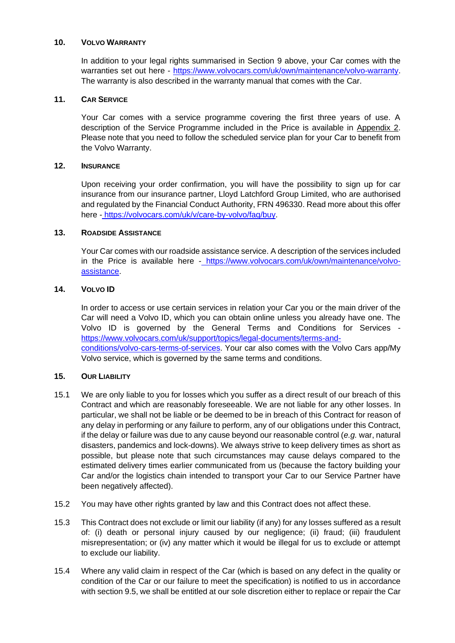#### **10. VOLVO WARRANTY**

In addition to your legal rights summarised in Section [9](#page-3-1) above, your Car comes with the warranties set out here - https://www.volvocars.com/uk/own/maintenance/volvo-warranty. The warranty is also described in the warranty manual that comes with the Car.

# **11. CAR SERVICE**

Your Car comes with a service programme covering the first three years of use. A description of the Service Programme included in the Price is available in Appendix 2. Please note that you need to follow the scheduled service plan for your Car to benefit from the Volvo Warranty.

## <span id="page-4-0"></span>**12. INSURANCE**

Upon receiving your order confirmation, you will have the possibility to sign up for car insurance from our insurance partner, Lloyd Latchford Group Limited, who are authorised and regulated by the Financial Conduct Authority, FRN 496330. Read more about this offer here - https://volvocars.com/uk/v/care-by-volvo/faq/buy.

## **13. ROADSIDE ASSISTANCE**

Your Car comes with our roadside assistance service. A description of the services included in the Price is available here - https://www.volvocars.com/uk/own/maintenance/volvoassistance.

## **14. VOLVO ID**

In order to access or use certain services in relation your Car you or the main driver of the Car will need a Volvo ID, which you can obtain online unless you already have one. The Volvo ID is governed by the General Terms and Conditions for Services [https://www.volvocars.com/uk/support/topics/legal-documents/terms-and](https://www.volvocars.com/uk/support/topics/legal-documents/terms-and-conditions/volvo-cars-terms-of-services)[conditions/volvo-cars-terms-of-services.](https://www.volvocars.com/uk/support/topics/legal-documents/terms-and-conditions/volvo-cars-terms-of-services) Your car also comes with the Volvo Cars app/My Volvo service, which is governed by the same terms and conditions.

#### <span id="page-4-1"></span>**15. OUR LIABILITY**

- 15.1 We are only liable to you for losses which you suffer as a direct result of our breach of this Contract and which are reasonably foreseeable. We are not liable for any other losses. In particular, we shall not be liable or be deemed to be in breach of this Contract for reason of any delay in performing or any failure to perform, any of our obligations under this Contract, if the delay or failure was due to any cause beyond our reasonable control (*e.g.* war, natural disasters, pandemics and lock-downs). We always strive to keep delivery times as short as possible, but please note that such circumstances may cause delays compared to the estimated delivery times earlier communicated from us (because the factory building your Car and/or the logistics chain intended to transport your Car to our Service Partner have been negatively affected).
- 15.2 You may have other rights granted by law and this Contract does not affect these.
- 15.3 This Contract does not exclude or limit our liability (if any) for any losses suffered as a result of: (i) death or personal injury caused by our negligence; (ii) fraud; (iii) fraudulent misrepresentation; or (iv) any matter which it would be illegal for us to exclude or attempt to exclude our liability.
- 15.4 Where any valid claim in respect of the Car (which is based on any defect in the quality or condition of the Car or our failure to meet the specification) is notified to us in accordance with section [9.5,](#page-3-2) we shall be entitled at our sole discretion either to replace or repair the Car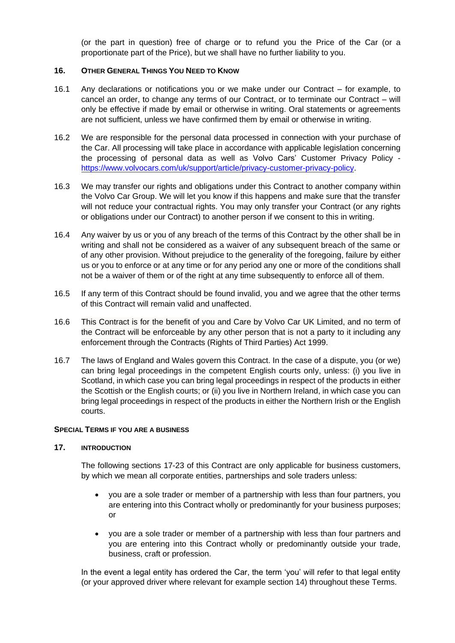(or the part in question) free of charge or to refund you the Price of the Car (or a proportionate part of the Price), but we shall have no further liability to you.

#### **16. OTHER GENERAL THINGS YOU NEED TO KNOW**

- 16.1 Any declarations or notifications you or we make under our Contract for example, to cancel an order, to change any terms of our Contract, or to terminate our Contract – will only be effective if made by email or otherwise in writing. Oral statements or agreements are not sufficient, unless we have confirmed them by email or otherwise in writing.
- 16.2 We are responsible for the personal data processed in connection with your purchase of the Car. All processing will take place in accordance with applicable legislation concerning the processing of personal data as well as Volvo Cars' Customer Privacy Policy [https://www.volvocars.com/uk/support/article/privacy-customer-privacy-policy.](https://www.volvocars.com/uk/support/article/privacy-customer-privacy-policy)
- 16.3 We may transfer our rights and obligations under this Contract to another company within the Volvo Car Group. We will let you know if this happens and make sure that the transfer will not reduce your contractual rights. You may only transfer your Contract (or any rights or obligations under our Contract) to another person if we consent to this in writing.
- 16.4 Any waiver by us or you of any breach of the terms of this Contract by the other shall be in writing and shall not be considered as a waiver of any subsequent breach of the same or of any other provision. Without prejudice to the generality of the foregoing, failure by either us or you to enforce or at any time or for any period any one or more of the conditions shall not be a waiver of them or of the right at any time subsequently to enforce all of them.
- 16.5 If any term of this Contract should be found invalid, you and we agree that the other terms of this Contract will remain valid and unaffected.
- 16.6 This Contract is for the benefit of you and Care by Volvo Car UK Limited, and no term of the Contract will be enforceable by any other person that is not a party to it including any enforcement through the Contracts (Rights of Third Parties) Act 1999.
- 16.7 The laws of England and Wales govern this Contract. In the case of a dispute, you (or we) can bring legal proceedings in the competent English courts only, unless: (i) you live in Scotland, in which case you can bring legal proceedings in respect of the products in either the Scottish or the English courts; or (ii) you live in Northern Ireland, in which case you can bring legal proceedings in respect of the products in either the Northern Irish or the English courts.

## **SPECIAL TERMS IF YOU ARE A BUSINESS**

#### <span id="page-5-0"></span>**17. INTRODUCTION**

The following sections [17](#page-5-0)[-23](#page-6-0) of this Contract are only applicable for business customers, by which we mean all corporate entities, partnerships and sole traders unless:

- you are a sole trader or member of a partnership with less than four partners, you are entering into this Contract wholly or predominantly for your business purposes; or
- you are a sole trader or member of a partnership with less than four partners and you are entering into this Contract wholly or predominantly outside your trade, business, craft or profession.

In the event a legal entity has ordered the Car, the term 'you' will refer to that legal entity (or your approved driver where relevant for example section 14) throughout these Terms.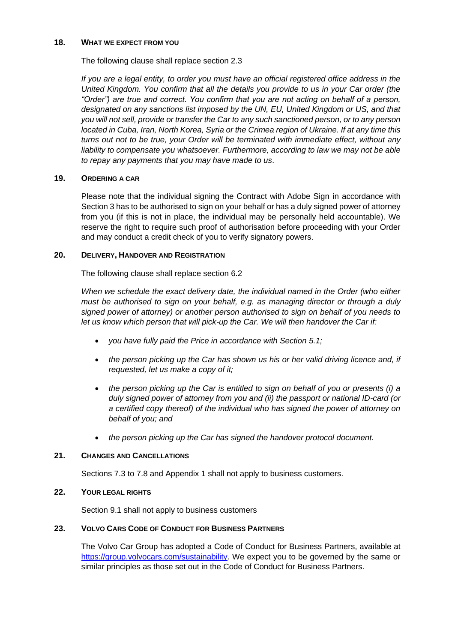#### **18. WHAT WE EXPECT FROM YOU**

The following clause shall replace section 2.3

*If you are a legal entity, to order you must have an official registered office address in the United Kingdom. You confirm that all the details you provide to us in your Car order (the "Order") are true and correct. You confirm that you are not acting on behalf of a person, designated on any sanctions list imposed by the UN, EU, United Kingdom or US, and that you will not sell, provide or transfer the Car to any such sanctioned person, or to any person located in Cuba, Iran, North Korea, Syria or the Crimea region of Ukraine. If at any time this turns out not to be true, your Order will be terminated with immediate effect, without any*  liability to compensate you whatsoever. Furthermore, according to law we may not be able *to repay any payments that you may have made to us*.

#### **19. ORDERING A CAR**

Please note that the individual signing the Contract with Adobe Sign in accordance with Section 3 has to be authorised to sign on your behalf or has a duly signed power of attorney from you (if this is not in place, the individual may be personally held accountable). We reserve the right to require such proof of authorisation before proceeding with your Order and may conduct a credit check of you to verify signatory powers.

## **20. DELIVERY, HANDOVER AND REGISTRATION**

The following clause shall replace section [6.2](#page-2-0)

*When we schedule the exact delivery date, the individual named in the Order (who either must be authorised to sign on your behalf, e.g. as managing director or through a duly signed power of attorney) or another person authorised to sign on behalf of you needs to let us know which person that will pick-up the Car. We will then handover the Car if:* 

- *you have fully paid the Price in accordance with Section [5.1;](#page-1-1)*
- *the person picking up the Car has shown us his or her valid driving licence and, if requested, let us make a copy of it;*
- *the person picking up the Car is entitled to sign on behalf of you or presents (i) a duly signed power of attorney from you and (ii) the passport or national ID-card (or a certified copy thereof) of the individual who has signed the power of attorney on behalf of you; and*
- *the person picking up the Car has signed the handover protocol document.*

#### **21. CHANGES AND CANCELLATIONS**

Sections [7.3](#page-2-3) to [7.8](#page-3-3) and Appendix 1 shall not apply to business customers.

#### **22. YOUR LEGAL RIGHTS**

Section [9.1](#page-3-4) shall not apply to business customers

#### <span id="page-6-0"></span>**23. VOLVO CARS CODE OF CONDUCT FOR BUSINESS PARTNERS**

The Volvo Car Group has adopted a Code of Conduct for Business Partners, available at [https://group.volvocars.com/sustainability.](https://group.volvocars.com/sustainability) We expect you to be governed by the same or similar principles as those set out in the Code of Conduct for Business Partners.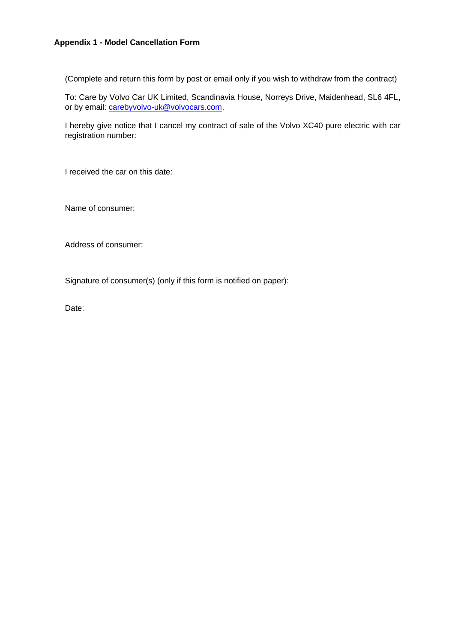## **Appendix 1 - Model Cancellation Form**

(Complete and return this form by post or email only if you wish to withdraw from the contract)

To: Care by Volvo Car UK Limited, Scandinavia House, Norreys Drive, Maidenhead, SL6 4FL, or by email: [carebyvolvo-uk@volvocars.com.](mailto:carebyvolvo-uk@volvocars.com)

I hereby give notice that I cancel my contract of sale of the Volvo XC40 pure electric with car registration number:

I received the car on this date:

Name of consumer:

Address of consumer:

Signature of consumer(s) (only if this form is notified on paper):

Date: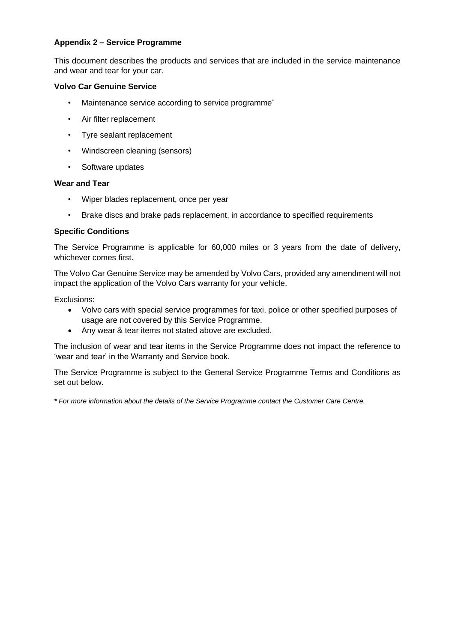# **Appendix 2 – Service Programme**

This document describes the products and services that are included in the service maintenance and wear and tear for your car.

# **Volvo Car Genuine Service**

- Maintenance service according to service programme<sup>\*</sup>
- Air filter replacement
- Tyre sealant replacement
- Windscreen cleaning (sensors)
- Software updates

## **Wear and Tear**

- Wiper blades replacement, once per year
- Brake discs and brake pads replacement, in accordance to specified requirements

# **Specific Conditions**

The Service Programme is applicable for 60,000 miles or 3 years from the date of delivery, whichever comes first.

The Volvo Car Genuine Service may be amended by Volvo Cars, provided any amendment will not impact the application of the Volvo Cars warranty for your vehicle.

Exclusions:

- Volvo cars with special service programmes for taxi, police or other specified purposes of usage are not covered by this Service Programme.
- Any wear & tear items not stated above are excluded.

The inclusion of wear and tear items in the Service Programme does not impact the reference to 'wear and tear' in the Warranty and Service book.

The Service Programme is subject to the General Service Programme Terms and Conditions as set out below.

*\* For more information about the details of the Service Programme contact the Customer Care Centre.*